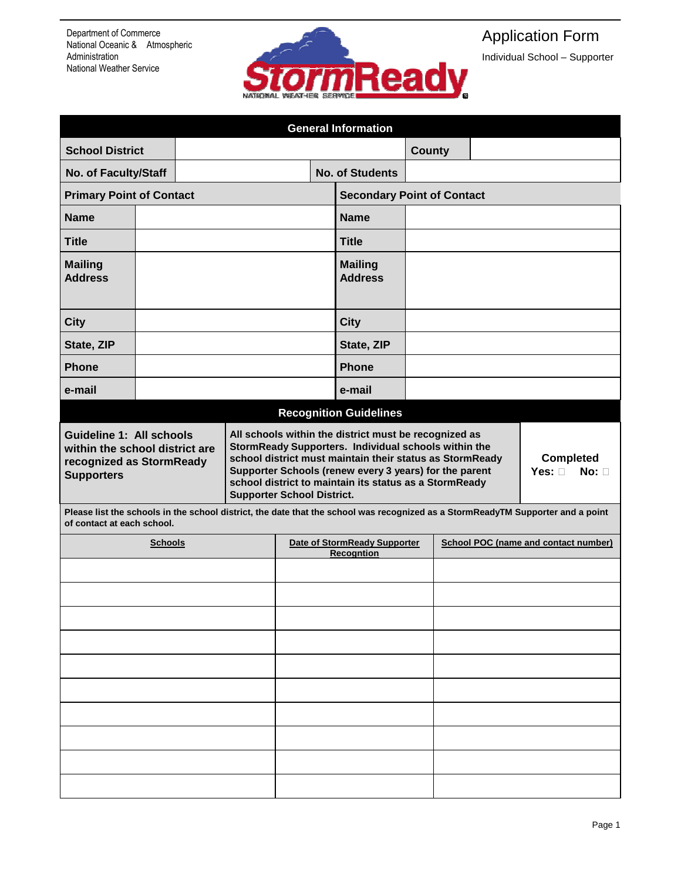

## Application Form

Individual School – Supporter

| <b>General Information</b>                                                                                         |  |                        |                                                                                                                                                                                                                                                                                                                                                                                                                                                                       |               |                                   |                               |                                      |  |                                          |  |  |
|--------------------------------------------------------------------------------------------------------------------|--|------------------------|-----------------------------------------------------------------------------------------------------------------------------------------------------------------------------------------------------------------------------------------------------------------------------------------------------------------------------------------------------------------------------------------------------------------------------------------------------------------------|---------------|-----------------------------------|-------------------------------|--------------------------------------|--|------------------------------------------|--|--|
| <b>School District</b>                                                                                             |  |                        |                                                                                                                                                                                                                                                                                                                                                                                                                                                                       | <b>County</b> |                                   |                               |                                      |  |                                          |  |  |
| No. of Faculty/Staff                                                                                               |  | <b>No. of Students</b> |                                                                                                                                                                                                                                                                                                                                                                                                                                                                       |               |                                   |                               |                                      |  |                                          |  |  |
| <b>Primary Point of Contact</b>                                                                                    |  |                        |                                                                                                                                                                                                                                                                                                                                                                                                                                                                       |               | <b>Secondary Point of Contact</b> |                               |                                      |  |                                          |  |  |
| <b>Name</b>                                                                                                        |  |                        | <b>Name</b>                                                                                                                                                                                                                                                                                                                                                                                                                                                           |               |                                   |                               |                                      |  |                                          |  |  |
| <b>Title</b>                                                                                                       |  |                        | <b>Title</b>                                                                                                                                                                                                                                                                                                                                                                                                                                                          |               |                                   |                               |                                      |  |                                          |  |  |
| <b>Mailing</b><br><b>Address</b>                                                                                   |  |                        | <b>Mailing</b><br><b>Address</b>                                                                                                                                                                                                                                                                                                                                                                                                                                      |               |                                   |                               |                                      |  |                                          |  |  |
| <b>City</b>                                                                                                        |  |                        |                                                                                                                                                                                                                                                                                                                                                                                                                                                                       | <b>City</b>   |                                   |                               |                                      |  |                                          |  |  |
| State, ZIP                                                                                                         |  |                        |                                                                                                                                                                                                                                                                                                                                                                                                                                                                       |               |                                   | State, ZIP                    |                                      |  |                                          |  |  |
| <b>Phone</b>                                                                                                       |  |                        |                                                                                                                                                                                                                                                                                                                                                                                                                                                                       |               |                                   | <b>Phone</b>                  |                                      |  |                                          |  |  |
| e-mail                                                                                                             |  |                        |                                                                                                                                                                                                                                                                                                                                                                                                                                                                       |               |                                   | e-mail                        |                                      |  |                                          |  |  |
|                                                                                                                    |  |                        |                                                                                                                                                                                                                                                                                                                                                                                                                                                                       |               |                                   | <b>Recognition Guidelines</b> |                                      |  |                                          |  |  |
| <b>Guideline 1: All schools</b><br>within the school district are<br>recognized as StormReady<br><b>Supporters</b> |  |                        | All schools within the district must be recognized as<br>StormReady Supporters. Individual schools within the<br>school district must maintain their status as StormReady<br>Supporter Schools (renew every 3 years) for the parent<br>school district to maintain its status as a StormReady<br><b>Supporter School District.</b><br>Please list the schools in the school district, the date that the school was recognized as a StormReadyTM Supporter and a point |               |                                   |                               |                                      |  | <b>Completed</b><br>Yes: □<br>$No: \Box$ |  |  |
| of contact at each school.                                                                                         |  |                        |                                                                                                                                                                                                                                                                                                                                                                                                                                                                       |               |                                   |                               |                                      |  |                                          |  |  |
| <b>Schools</b>                                                                                                     |  |                        | Date of StormReady Supporter<br><b>Recogntion</b>                                                                                                                                                                                                                                                                                                                                                                                                                     |               |                                   |                               | School POC (name and contact number) |  |                                          |  |  |
|                                                                                                                    |  |                        |                                                                                                                                                                                                                                                                                                                                                                                                                                                                       |               |                                   |                               |                                      |  |                                          |  |  |
|                                                                                                                    |  |                        |                                                                                                                                                                                                                                                                                                                                                                                                                                                                       |               |                                   |                               |                                      |  |                                          |  |  |
|                                                                                                                    |  |                        |                                                                                                                                                                                                                                                                                                                                                                                                                                                                       |               |                                   |                               |                                      |  |                                          |  |  |
|                                                                                                                    |  |                        |                                                                                                                                                                                                                                                                                                                                                                                                                                                                       |               |                                   |                               |                                      |  |                                          |  |  |
|                                                                                                                    |  |                        |                                                                                                                                                                                                                                                                                                                                                                                                                                                                       |               |                                   |                               |                                      |  |                                          |  |  |
|                                                                                                                    |  |                        |                                                                                                                                                                                                                                                                                                                                                                                                                                                                       |               |                                   |                               |                                      |  |                                          |  |  |
|                                                                                                                    |  |                        |                                                                                                                                                                                                                                                                                                                                                                                                                                                                       |               |                                   |                               |                                      |  |                                          |  |  |
|                                                                                                                    |  |                        |                                                                                                                                                                                                                                                                                                                                                                                                                                                                       |               |                                   |                               |                                      |  |                                          |  |  |
|                                                                                                                    |  |                        |                                                                                                                                                                                                                                                                                                                                                                                                                                                                       |               |                                   |                               |                                      |  |                                          |  |  |
|                                                                                                                    |  |                        |                                                                                                                                                                                                                                                                                                                                                                                                                                                                       |               |                                   |                               |                                      |  |                                          |  |  |